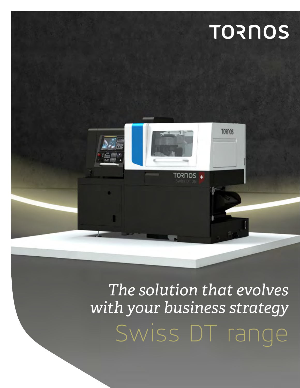## **TORNOS**



### Swiss DT range *The solution that evolves with your business strategy*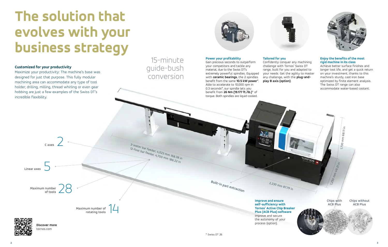



## **The solution that evolves with your business strategy**

### **Customized for your productivity**

Maximize your productivity: The machine's base was designed for just that purpose. This fully modular machining area can accommodate any type of tool holder; drilling, milling, thread whirling or even gear hobbing are just a few examples of the Swiss DT's incredible flexibility.

tornos.com

### 15-minute guide-bush conversion



### **Power your profitability**

Gain precious seconds to outperform your competitors and tackle any material, due to the Swiss DT's extremely powerful spindles. Equipped with **ceramic bearings**, the 2 spindles benefit from the same **10.5 kW power**\*. Able to accelerate to 10,000 rpm in 0.3 seconds\*, our spindle lets you benefit from **26 Nm (19.177 ft./lb.)**\* of torque. Both spindles are liquid-cooled.

**Discover more** 3-meter bar feeder, 4,023 mm 158.38 in 12-foot bar feeder, 4,700 mm 136.22 in **Linear axes Maximum number of tools Maximum number of rotating tools C axes** 5 28 14 2 **Improve and ensure self-sufficiency with Tornos' Active Chip Breaker Plus (ACB Plus) software** Improve and secure the autonomy of your process (option). **Built-in part extraction**

**Tailored for you** 



Confidently conquer any machining challenge with Tornos' Swiss DT range, built for you and adapted to your needs. Get the agility to master any challenge, with the **plug-and-**

**play B axis (option)**.

### **Enjoy the benefits of the most rigid machine in its class**

Achieve better surface finishes and longer tool life, and get a quick return on your investment, thanks to this machine's sturdy, cast-iron base optimized by finite element analysis. The Swiss DT range can also accommodate water-based coolant.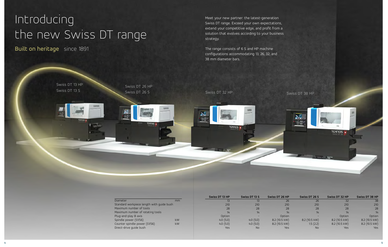## Introducing the new Swiss DT range

Built on heritage since 1891



| Swiss DT 13 HP<br>Swiss DT 13 S<br>109105<br>TORNOS + | Swiss DT 26 HP<br>Swiss DT 26 S<br><b>TURIKIS</b><br>d.,<br><b>CONTRACTOR</b><br>55<br><b>TORNOS +</b> | Swiss DT 32 HP<br>أنتكم<br>语言。<br>$\mathbf{F} = \mathbf{F} \cdot \mathbf{A}$ | <b>TORNOS +</b>                        |                                         | Swiss DT 38 HP<br>$\sum_{i=1}^{n}$<br>话题 | <b>TORNOS +</b><br><b>Contract Contract</b> |                                                |
|-------------------------------------------------------|--------------------------------------------------------------------------------------------------------|------------------------------------------------------------------------------|----------------------------------------|-----------------------------------------|------------------------------------------|---------------------------------------------|------------------------------------------------|
|                                                       | Diameter<br>mm<br>Standard workpiece length with guide bush<br>Maximum number of tools                 | Swiss DT 13 HP<br>13<br>210<br>28<br>14                                      | Swiss DT 13 S<br>13<br>210<br>28<br>14 | Swiss DT 26 HP<br>26<br>210<br>28<br>14 | Swiss DT 26 S<br>26<br>210<br>28<br>14   | Swiss DT 32 HP<br>32<br>210<br>28<br>14     | Swiss DT 38 HP<br>$\overline{38}$<br>210<br>28 |

Meet your new partner: the latest-generation Swiss DT range. Exceed your own expectations, extend your competitive edge, and profit from a solution that evolves according to your business strategy.

The range consists of 6 S and HP machine configurations accommodating 13, 26, 32, and 38 mm diameter bars.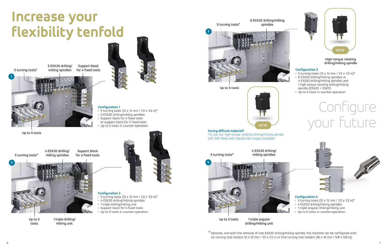**1**







### **Configuration 1**

- $\cdot$  5 turning tools (12 x 12 mm / 1/2 x 1/2 in)\*
- 5 ESX20 drilling/milling spindles
- Support block for 4 fixed tools
- or support block for 5 fixed tools
- Up to 5 tools in counter-operation

- $\cdot$  5 turning tools (12 x 12 mm / 1/2 x 1/2 in)\*
- 4 ESX20 drilling/milling spindles
- 1 triple drilling/milling unit
- Support block for 4 fixed tools
- Up to 5 tools in counter-operation

### **Configuration 2**

## **Increase your flexibility tenfold**

- $\cdot$  5 turning tools (12 x 12 mm / 1/2 x 1/2 in)\*
- 4 ESX20 drilling/milling spindles
- 1 triple angular drilling/milling unit
- Up to 5 tools in counter-operation

5 turning tools\*

5 ESX20 drilling/ milling spindles Support block for 4 fixed tools





- $\cdot$  5 turning tools (12 x 12 mm / 1/2 x 1/2 in)\*
- 6 ESX20 drilling/milling spindles or 4 ESX20 drilling/milling spindles and 1 high torque rotating drilling/milling spindle (ESX20 + ESX11)
- Up to 5 tools in counter-operation

# Configure Facing difficult material?<br>Pacing difficult material?



5 turning tools\*



Up to 5 tools

4 ESX20 drilling/ milling spindles Support block for 4 fixed tools

> *\** Optional, and with the removal of one ESX20 drilling/milling spindle, the machine can be configured with six turning tool holders 12 x 12 mm / 1/2 x 1/2 in or five turning tool holders (16 x 16 mm / 5/8 x 5/8 in).

1 triple drilling/ milling unit



### **Configuration 4**

### **Configuration 3**



Up to 5 tools 1 triple angular

Try out our high torque rotating drilling/milling spindle (ref. 500-1644) with double the torque available!

drilling/milling unit

5 turning tools\* 6 ESX20 drilling/milling spindles

Up to 5 tools

High-torque rotating drilling/milling spindle



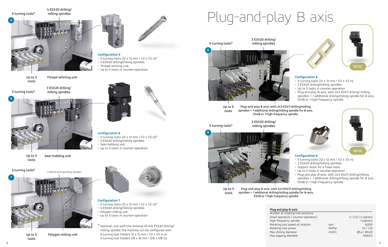**5**





### **Configuration 7**

- $\cdot$  5 turning tools (12 x 12 mm / 1/2 x 1/2 in)\*
- 4 ESX20 drilling/milling spindles
- Polygon milling unit
- Up to 5 tools in counter-operation



 $\cdot$  5 turning tools (12 x 12 mm / 1/2 x 1/2 in)\*

A CONTROLLER COMPANY

- 5 turning tools (12 x 12 mm /  $1/2 \times 1/2$  in)\*
- 3 ESX20 drilling/milling spindles
- Gear-hobbing unit
- Up to 5 tools in counter-operation



- 4 ESX20 drilling/milling spindles
- Thread-whirling unit
- Up to 5 tools in counter-operation



### **Configuration 6**

 $^\star$  Optional, and with the removal of one ESX20 drilling/ milling spindle, the machine can be configured with 6 turning tool holders 12  $\times$  12 mm / 1/2  $\times$  1/2 in or 5 turning tool holders (16 x 16 mm / 5/8 x 5/8 in).

Number of rotating tool positions (main operation / counter-operation) 3 / 3 (4 / 4 option) High-frequency spindle 1 (option) Rotating tool speed of rotation rpm rpm 8,000 Rotating tool power kW/hp kW/hp 1.0 / 1.33 Max drilling diameter mm/in Ø5.2 / Ø0.20 Max tapping diameter M3X0.5

4 ESX20 drilling/milling spindles

Polygon milling unit

3 ESX20 drilling/ milling spindles

- $\cdot$  5 turning tools (12 x 12 mm / 1/2 x 1/2 in)
- 2 ESX20 drilling/milling spindles
- Support block for 4 fixed tools
- Up to 5 tools in counter-operation
- Plug and play B-axis, with 2x3 ESX11 drilling/milling spindles + 1 additional drilling/milling spindle for B axis, ESX8 or 1 high-frequency spindle

Gear-hobbing unit

4 ESX20 drilling/ milling spindles



Thread-whirling unit

5 turning tools\*

5 turning tools\*



Up to 5 tools

Up to 5 tools

Up to 5 tools





### **Plug and play B-axis**

### **Configuration 9**

### **Configuration 8**

- 5 turning tools (12 x 12 mm / 1/2 x 1/2 in)
- 3 ESX20 drilling/milling spindles
- Up to 5 tools in counter-operation
- Plug and play B-axis, with 2x3 ESX11 drilling/ milling spindles + 1 additional drilling/milling spindle for B axis, ESX8 or 1 high-frequency spindle

## Plug-and-play B axis

Up to 5 tools

Plug-and-play B axis, with 2x3 ESX11 drilling/milling spindles + 1 additional drilling/milling spindle for B-axis, ESX8 or 1 high-frequency spindle

2 ESX20 drilling/

milling spindles

Up to 5 tools

Plug-and-play B axis, with 2x3 ESX11 drilling/milling spindles + 1 additional drilling/milling spindle for B axis, ESX8 or 1 high-frequency spindle



3 ESX20 drilling/



5 turning tools\*



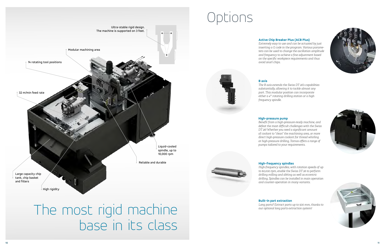The most rigid machine base in its class







### **High-frequency spindles**

*High-frequency spindles, with rotation speeds of up to 60,000 rpm, enable the Swiss DT 26 to perform drilling milling and sliing as well as eccentric drilling. Spindles can be installed in main operation and counter-operation in many variants.*

*Long parts? Extract parts up to 500 mm, thanks to* 



### **Built-in part extraction** *our optional long parts extraction system!*

### **High-pressure pump**

*Benefit from a high-pressure-ready machine, and defeat the most difficult challenges with the Swiss DT 26! Whether you need a significant amount of coolant to "clean" the machining area, or more direct high-pressure coolant for thread whirling or high-pressure drilling, Tornos offers a range of pumps tailored to your requirements.*

### **B axis**

*The B axis extends the Swiss DT 26's capabilities substantially, allowing it to tackle almost any part. This modular position can incorporate either a 4th rotating drilling station or a high frequency spindle.*

### **Active Chip Breaker Plus (ACB Plus)**

*Extremely easy to use and can be actuated by just inserting a G code in the program. Various parameters can be used to change the oscillation amplitude and frequency to achieve a fine adjustment based on the specific workpiece requirements and thus avoid snarl chips.*

# Options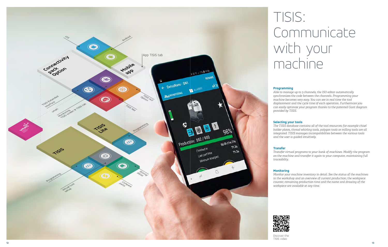*Able to manage up to 3 channels, the ISO editor automatically synchronizes the code between the channels. Programming your machine becomes very easy. You can see in real time the tool displacement and the cycle time of each operation. Furthermore you can easily optimize your program thanks to the patented Gant diagram* 

### **Selecting your tools**

*The TISIS database contains all of the tool resources ; for example chisel holder plates, thread whirling tools, polygon tools or milling tools are all integrated. TISIS manages incompatibilities between the various tools and the user is guided intuitively.*



## TISIS: Communicate with your machine

*Transfer virtual programs to your bank of machines. Modify the program on the machine and transfer it again to your computer, maintaining full* 

*Monitor your machine inventory in detail. See the status of the machines in the workshop and an overview of current production ; the workpiece counter, remaining production time and the name and drawing of the workpiece are available at any time.*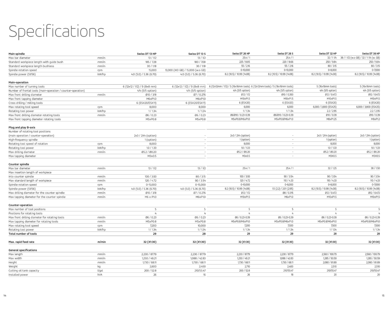## Specifications

| Main spindle                                                 |              | Swiss DT 13 HP               | Swiss DT 13 S                     | Swiss DT 26 HP                                                              | Swiss DT 26 S              | Swiss DT 32 HP             | Swiss DT 38 HP                         |
|--------------------------------------------------------------|--------------|------------------------------|-----------------------------------|-----------------------------------------------------------------------------|----------------------------|----------------------------|----------------------------------------|
| Max bar diameter                                             | mm/in        | 13/1/2                       | 13/1/2                            | 25.4/1                                                                      | 25.4/1                     | 32/11/4                    | 38 / 11/2 (w.o GB) / 32 / 11/4 (w. GB) |
| Standard workpiece length with guide bush                    | mm/in        | 185 / 7.28                   | 180 / 7.08                        | 225 / 8.85                                                                  | 220 / 8.66                 | 250 / 9.84                 | 250 / 9.84                             |
| Standard workpiece length bushless                           | mm/in        | 30 / 1.18                    | 30 / 1.18                         | 55 / 2.16                                                                   | 55 / 2.16                  | 80 / 3.15                  | 80 / 3.15                              |
| Spindle rotation speed                                       | rpm          | 15,000                       | 13,000 (IKO GB) / 15,000 (w.o GB) | 0-10,000                                                                    | 0-10,000                   | $0 - 8,000$                | $0 - 7,000$                            |
| Spindle power (SVS6)                                         | kW/hp        | 4.0 (5.0) / 5.36 (6.70)      | 4.0 (5.0) / 5.36 (6.70)           | 8.2 (10.5) / 10.99 (14.08)                                                  | 8.2 (10.5) / 10.99 (14.08) | 8.2 (10.5) / 10.99 (14.08) | 8.2 (10.5) / 10.99 (14.08)             |
| Main-operation                                               |              |                              |                                   |                                                                             |                            |                            |                                        |
| Max number of turning tools                                  |              | 6 (12x12 / 1/2) / 9 (8x8 mm) | 6 (12x12 / 1/2) / 9 (8x8 mm)      | 6 (12x12mm / 1/2) / 5 (16x16mm tools) 6 (12x12mm tools) / 5 (16x16mm tools) |                            | 5 (16x16mm tools)          | 5 (16x16mm tools)                      |
| Number of frontal tools (main-operation / counter-operation) |              | 4/4 (5/5 option)             | 4/4 (5/5 option)                  | 4/4 (5/5 option)                                                            | 4/4 (5/5 option)           | 4/4 (5/5 option)           | 4/4 (5/5 option)                       |
| Max front drilling diameter                                  | mm/in        | 010 / 3/8                    | 07 / 0.276                        | 012/1/2                                                                     | 010 / 0.393                | 012 / 0.472                | 012 / 0.472                            |
| Max front tapping diameter                                   |              | M6xP1.0                      | M6xP1.0                           | M10xP1.5                                                                    | M10xP1.5                   | M10xP1.5                   | M10xP1.5                               |
| Cross drilling / milling tools                               |              | 6 (ESX20/ESX11)              | 6 (ESX20/ESX11)                   | 6 (ESX20)                                                                   | 6 (ESX20)                  | 6 (ESX20)                  | 6 (ESX20)                              |
| Max rotating tool speed                                      | rpm          | 8,000                        | 8,000                             | 6,000                                                                       | 6,000                      | 6,000 / 3,800 (ESX25)      | 6,000 / 3,800 (ESX25)                  |
| Rotating tool power                                          | kW/hp        | 1/134                        | 1/134                             | 1/134                                                                       | 1/134                      | 2.2 / 2.95                 | 2.2 / 2.95                             |
| Max front drilling diameter rotating tools                   | mm/in        | 06 / 0.23                    | 06 / 0.23                         | 06/010 / 0.23-0.39                                                          | 06/010 / 0.23-0.39         | 010 / 0.39                 | 010 / 0.39                             |
| Max front tapping diameter rotating tools                    |              | M5xP0.8                      | M5xP0.8                           | M5xP0.8/M6xP1.0                                                             | M5xP0.8/M6xP1.0            | M8xP1.25                   | M8xP12                                 |
|                                                              |              |                              |                                   |                                                                             |                            |                            |                                        |
| Plug and play B-axis                                         |              |                              |                                   |                                                                             |                            |                            |                                        |
| Number of rotating tool positions                            |              |                              |                                   |                                                                             |                            |                            |                                        |
| (main operation / counter-operation)                         |              | 2x3 / 2X4 (option)           |                                   | 2x3 / 2X4 (option)                                                          |                            | 2x3 / 2X4 (option)         | 2x3 / 2X4 (option)                     |
| High-frequency spindle                                       |              | 1 (option)                   |                                   | 1 (option)                                                                  | $\sim$                     | 1 (option)                 | 1 (option)                             |
| Rotating tool speed of rotation                              | rpm          | 8,000                        | $\sim$                            | 8,000                                                                       | $\sim$                     | 8,000                      | 8,000                                  |
| Rotating tool power                                          | kW/hp        | 10/133                       | $\sim$                            | 10/133                                                                      | $\sim$                     | 10/133                     | 10 / 133                               |
| Max drilling diameter                                        | mm/in        | 05.2 / 00.20                 |                                   | 05.2 / 00.20                                                                | $\sim$                     | 05.2 / 00.20               | 05.2 / 00.20                           |
| Max tapping diameter                                         |              | M3x0.5                       | $\sim$                            | M3x0.5                                                                      | $\sim$                     | M3X0.5                     | M3X0.5                                 |
| Counter spindle                                              |              |                              |                                   |                                                                             |                            |                            |                                        |
| Max bar diameter                                             | mm/in        | 13/1/2                       | 13/1/2                            | 25.4/1                                                                      | 25.4/1                     | 32/125                     | 38 / 1.50                              |
| Max insertion length of workpiece                            |              |                              |                                   |                                                                             |                            |                            |                                        |
| into counter spindle                                         | mm/in        | 100 / 3.93                   | 80 / 3.15                         | 100 / 3.93                                                                  | 90 / 3.54                  | 90 / 3.54                  | 90 / 3.54                              |
| Max standard length of workpiece                             | mm/in        | 120 / 4.72                   | 90 / 3.54                         | 120 / 4.72                                                                  | 110 / 4.33                 | 110 / 4.33                 | 110 / 4.33                             |
| Spindle rotation speed                                       | rpm          | 0-15,000                     | 0-15,000                          | 0-10,000                                                                    | 0-8,000                    | $0 - 8,000$                | $0 - 7,000$                            |
| Spindle power (SVS6)                                         | kW/hp        | 4.0 (5.0) / 5.36 (6.70)      | 4.0 (5.0) / 5.36 (6.70)           | 8.2 (10.5) / 10.99 (14.08)                                                  | 1.5 (2.2) / 2.01 (2.95)    | 8.2 (10.5) / 10.99 (14.08) | 8.2 (10.5) / 10.99 (14.08)             |
| Max drilling diameter for the counter spindle                | mm/in        | 010 / 3/8                    | 07 / 0.276                        | 012/1/2                                                                     | 08 / 0.315                 | 012 / 0.472                | 012 / 0.472                            |
| Max tapping diameter for the counter spindle                 | mm/in        | M6 x P1.0                    | M6xP1.0                           | M10xP1.5                                                                    | M6xP1.0                    | M10xP1.5                   | M10xP15                                |
| Counter-operation                                            |              |                              |                                   |                                                                             |                            |                            |                                        |
| Max number of tool positions                                 |              | 5                            | 5                                 | 5                                                                           | 5                          | 5                          | 5                                      |
| Positions for rotating tools                                 |              | 4                            | 4                                 | 4                                                                           | 4                          | 4                          |                                        |
| Max front drilling diameter for rotating tools               | mm/in        | 06 / 0.23                    | 06 / 0.23                         | 06 / 0.23-0.39                                                              | 06 / 0.23-0.39             | 06 / 0.23-0.39             | 06 / 0.23-0.39                         |
| Max tapping diameter for rotating tools                      | mm/in        | M5xP0.8                      | M5xP0.8                           | M5xP0.8/M6xP1.0                                                             | M5xP0.8/M6xP1.0            | M5xP0.8/M6xP10             | M5xP0.8/M6xP10                         |
| Max rotating tool speed                                      |              | 7,200                        | 10,000                            | 7,200                                                                       | 7,500                      | 7,500                      | 7,500                                  |
| Rotating tool power                                          | rpm<br>kW/hp | 1/134                        | 1/1.34                            | 1/134                                                                       | 1/134                      | 1/134                      | 1/134                                  |
|                                                              |              | 29                           | 28                                | 29                                                                          | 29                         | 28                         | 28                                     |
| Total number of tools                                        |              |                              |                                   |                                                                             |                            |                            |                                        |
| Max. rapid feed rate                                         | m/min        | 32 (X1:30)                   | 32 (X1:30)                        | 32 (X1:30)                                                                  | 32 (X1:30)                 | 32 (X1:30)                 | 32 (X1:30)                             |
| General specifications                                       |              |                              |                                   |                                                                             |                            |                            |                                        |
| Max length                                                   | mm/in        | 2,230 / 87.79                | 2,230 / 87.79                     | 2,230 / 87.79                                                               | 2,230 / 87.79              | 2,560 / 100.79             | 2,560 / 100.79                         |
| Max width                                                    | mm/in        | 1,250 / 49.21                | 1,088 / 42.83                     | 1,250 / 49.21                                                               | 1,088 / 42.83              | 1,285 / 50.59              | 1,285 / 50.59                          |
| Height                                                       | mm/in        | 1,730 / 68.11                | 1,730 / 68.11                     | 1,730 / 68.11                                                               | 1,730 / 68.11              | 2,080 / 81.89              | 2,080 / 81.89                          |
| Weight                                                       | kg           | 2,600                        | 2,400                             | 2,710                                                                       | 2,400                      | 2,510                      | 2,510                                  |
| Cutting oil tank capacity                                    | <b>Vgal</b>  | 200 / 52.8                   | 210/55.47                         | 200 / 52.8                                                                  | 210/55.47                  | 210/55.47                  | 210/55.47                              |
| Installed power                                              | kVA          | 26                           | 16                                | 26                                                                          | 18                         | 20                         | 20                                     |